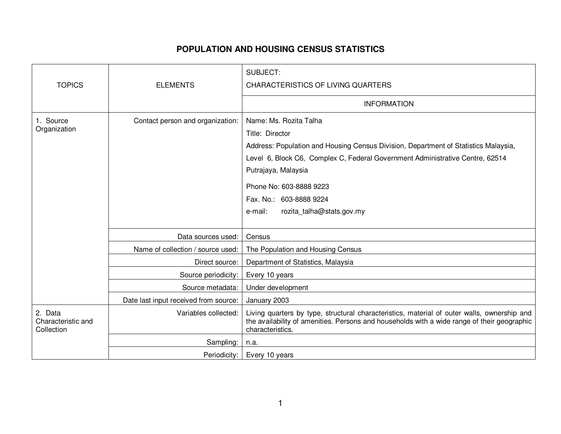## **POPULATION AND HOUSING CENSUS STATISTICS**

|                                             |                                       | SUBJECT:                                                                                                                                                                                                                                                                                                                               |
|---------------------------------------------|---------------------------------------|----------------------------------------------------------------------------------------------------------------------------------------------------------------------------------------------------------------------------------------------------------------------------------------------------------------------------------------|
| <b>TOPICS</b>                               | <b>ELEMENTS</b>                       | <b>CHARACTERISTICS OF LIVING QUARTERS</b>                                                                                                                                                                                                                                                                                              |
|                                             |                                       | <b>INFORMATION</b>                                                                                                                                                                                                                                                                                                                     |
| 1. Source<br>Organization                   | Contact person and organization:      | Name: Ms. Rozita Talha<br>Title: Director<br>Address: Population and Housing Census Division, Department of Statistics Malaysia,<br>Level 6, Block C6, Complex C, Federal Government Administrative Centre, 62514<br>Putrajaya, Malaysia<br>Phone No: 603-8888 9223<br>Fax. No.: 603-8888 9224<br>e-mail:<br>rozita_talha@stats.gov.my |
|                                             | Data sources used:                    | Census                                                                                                                                                                                                                                                                                                                                 |
|                                             | Name of collection / source used:     | The Population and Housing Census                                                                                                                                                                                                                                                                                                      |
|                                             | Direct source:                        | Department of Statistics, Malaysia                                                                                                                                                                                                                                                                                                     |
|                                             | Source periodicity:                   | Every 10 years                                                                                                                                                                                                                                                                                                                         |
|                                             | Source metadata:                      | Under development                                                                                                                                                                                                                                                                                                                      |
|                                             | Date last input received from source: | January 2003                                                                                                                                                                                                                                                                                                                           |
| 2. Data<br>Characteristic and<br>Collection | Variables collected:                  | Living quarters by type, structural characteristics, material of outer walls, ownership and<br>the availability of amenities. Persons and households with a wide range of their geographic<br>characteristics.                                                                                                                         |
|                                             | Sampling:                             | n.a.                                                                                                                                                                                                                                                                                                                                   |
|                                             | Periodicity:                          | Every 10 years                                                                                                                                                                                                                                                                                                                         |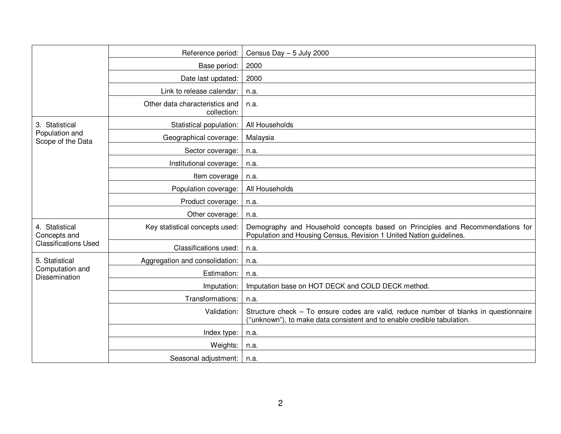|                                                               | Reference period:                             | Census Day $-5$ July 2000                                                                                                                                        |
|---------------------------------------------------------------|-----------------------------------------------|------------------------------------------------------------------------------------------------------------------------------------------------------------------|
|                                                               | Base period:                                  | 2000                                                                                                                                                             |
|                                                               | Date last updated:                            | 2000                                                                                                                                                             |
|                                                               | Link to release calendar:                     | n.a.                                                                                                                                                             |
|                                                               | Other data characteristics and<br>collection: | n.a.                                                                                                                                                             |
| 3. Statistical<br>Population and<br>Scope of the Data         | Statistical population:                       | All Households                                                                                                                                                   |
|                                                               | Geographical coverage:                        | Malaysia                                                                                                                                                         |
|                                                               | Sector coverage:                              | n.a.                                                                                                                                                             |
|                                                               | Institutional coverage:                       | n.a.                                                                                                                                                             |
|                                                               | Item coverage                                 | n.a.                                                                                                                                                             |
|                                                               | Population coverage:                          | All Households                                                                                                                                                   |
|                                                               | Product coverage:                             | n.a.                                                                                                                                                             |
|                                                               | Other coverage:                               | n.a.                                                                                                                                                             |
| 4. Statistical<br>Concepts and<br><b>Classifications Used</b> | Key statistical concepts used:                | Demography and Household concepts based on Principles and Recommendations for<br>Population and Housing Census, Revision 1 United Nation guidelines.             |
|                                                               | Classifications used:                         | n.a.                                                                                                                                                             |
| 5. Statistical<br>Computation and<br><b>Dissemination</b>     | Aggregation and consolidation:                | n.a.                                                                                                                                                             |
|                                                               | Estimation:                                   | n.a.                                                                                                                                                             |
|                                                               | Imputation:                                   | Imputation base on HOT DECK and COLD DECK method.                                                                                                                |
|                                                               | Transformations:                              | n.a.                                                                                                                                                             |
|                                                               | Validation:                                   | Structure check – To ensure codes are valid, reduce number of blanks in questionnaire<br>("unknown"), to make data consistent and to enable credible tabulation. |
|                                                               | Index type:                                   | n.a.                                                                                                                                                             |
|                                                               | Weights:                                      | n.a.                                                                                                                                                             |
|                                                               | Seasonal adjustment:                          | n.a.                                                                                                                                                             |